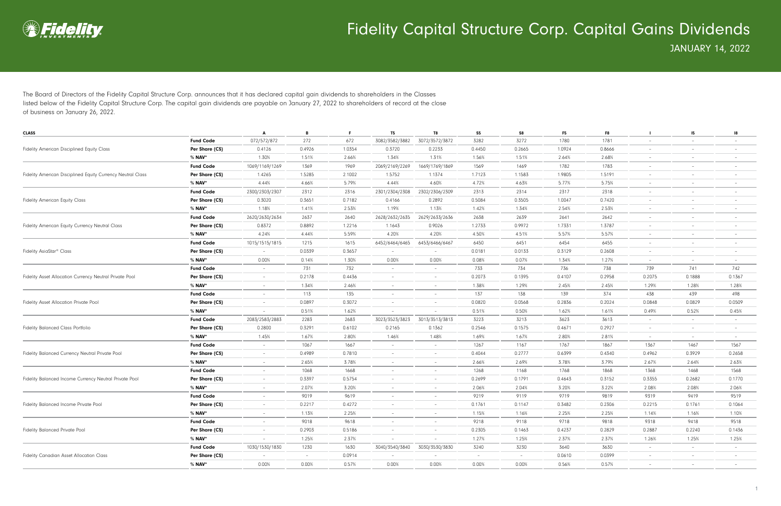

The Board of Directors of the Fidelity Capital Structure Corp. announces that it has declared capital gain dividends to shareholders in the Classes listed below of the Fidelity Capital Structure Corp. The capital gain dividends are payable on January 27, 2022 to shareholders of record at the close of business on January 26, 2022.

| <b>CLASS</b>                                                |                  | Α                        | В        | -F.    | T5                       | T8                       | S5     | S8       | F <sub>5</sub> | F8     |                          | 15                       | 18                       |
|-------------------------------------------------------------|------------------|--------------------------|----------|--------|--------------------------|--------------------------|--------|----------|----------------|--------|--------------------------|--------------------------|--------------------------|
|                                                             | <b>Fund Code</b> | 072/572/872              | 272      | 672    | 3082/3582/3882           | 3072/3572/3872           | 3282   | 3272     | 1780           | 1781   | $\overline{\phantom{a}}$ |                          |                          |
| Fidelity American Disciplined Equity Class                  | Per Share (C\$)  | 0.4126                   | 0.4926   | 1.0354 | 0.3720                   | 0.2233                   | 0.4450 | 0.2665   | 1.0924         | 0.8666 | $\overline{\phantom{a}}$ | $\overline{\phantom{0}}$ |                          |
|                                                             | % <b>NAV</b> *   | 1.30%                    | 1.51%    | 2.66%  | 1.34%                    | 1.31%                    | 1.56%  | 1.51%    | 2.64%          | 2.68%  | $\overline{\phantom{a}}$ | $\overline{\phantom{a}}$ |                          |
|                                                             | <b>Fund Code</b> | 1069/1169/1269           | 1369     | 1969   | 2069/2169/2269           | 1669/1769/1869           | 1569   | 1469     | 1782           | 1783   | $\overline{\phantom{a}}$ |                          | $\qquad \qquad -$        |
| Fidelity American Disciplined Equity Currency Neutral Class | Per Share (C\$)  | 1.4265                   | 1.5285   | 2.1002 | 1.5752                   | 1.1374                   | 1.7123 | 1.1583   | 1.9805         | 1.5191 | $\overline{\phantom{a}}$ |                          |                          |
|                                                             | % NAV*           | 4.44%                    | 4.66%    | 5.79%  | 4.44%                    | 4.60%                    | 4.72%  | 4.63%    | 5.77%          | 5.75%  | $\overline{\phantom{a}}$ | $-$                      |                          |
|                                                             | <b>Fund Code</b> | 2300/2303/2307           | 2312     | 2316   | 2301/2304/2308           | 2302/2306/2309           | 2313   | 2314     | 2317           | 2318   | $\overline{\phantom{a}}$ | $\overline{\phantom{0}}$ | $\qquad \qquad -$        |
| <b>Fidelity American Equity Class</b>                       | Per Share (C\$)  | 0.3020                   | 0.3651   | 0.7182 | 0.4166                   | 0.2892                   | 0.5084 | 0.3505   | 1.0047         | 0.7420 |                          |                          |                          |
|                                                             | % NAV*           | 1.18%                    | 1.41%    | 2.53%  | 1.19%                    | 1.13%                    | 1.42%  | 1.34%    | 2.54%          | 2.53%  | $\qquad \qquad -$        | $-$                      | $\overline{\phantom{0}}$ |
|                                                             | <b>Fund Code</b> | 2620/2630/2634           | 2637     | 2640   | 2628/2632/2635           | 2629/2633/2636           | 2638   | 2639     | 2641           | 2642   | $\overline{\phantom{a}}$ | $-$                      |                          |
| Fidelity American Equity Currency Neutral Class             | Per Share (C\$)  | 0.8372                   | 0.8892   | 1.2216 | 1.1643                   | 0.9026                   | 1.2733 | 0.9972   | 1.7331         | 1.3787 | $\overline{\phantom{a}}$ |                          | $\qquad \qquad -$        |
|                                                             | % <b>NAV</b> *   | 4.24%                    | 4.44%    | 5.59%  | 4.20%                    | 4.20%                    | 4.50%  | 4.51%    | 5.57%          | 5.57%  | $\overline{\phantom{a}}$ | $\overline{\phantom{a}}$ |                          |
|                                                             | <b>Fund Code</b> | 1015/1515/1815           | 1215     | 1615   | 6452/6464/6465           | 6453/6466/6467           | 6450   | 6451     | 6454           | 6455   | $\overline{\phantom{a}}$ | $-$                      | $\qquad \qquad -$        |
| Fidelity AsiaStar <sup>®</sup> Class                        | Per Share (C\$)  | $\overline{\phantom{a}}$ | 0.0339   | 0.3657 |                          |                          | 0.0181 | 0.0133   | 0.3129         | 0.2608 | $\overline{\phantom{a}}$ |                          |                          |
|                                                             | % NAV*           | 0.00%                    | 0.14%    | 1.30%  | 0.00%                    | 0.00%                    | 0.08%  | 0.07%    | 1.34%          | 1.27%  | $\overline{\phantom{a}}$ | $-$                      | $\qquad \qquad -$        |
|                                                             | <b>Fund Code</b> | $\overline{\phantom{a}}$ | 731      | 732    | $\overline{\phantom{0}}$ | $\overline{\phantom{a}}$ | 733    | 734      | 736            | 738    | 739                      | 741                      | 742                      |
| Fidelity Asset Allocation Currency Neutral Private Pool     | Per Share (C\$)  | $\overline{\phantom{a}}$ | 0.2178   | 0.4436 |                          | $\qquad \qquad -$        | 0.2073 | 0.1395   | 0.4107         | 0.2958 | 0.2075                   | 0.1888                   | 0.1367                   |
|                                                             | % NAV*           | $\overline{\phantom{a}}$ | 1.34%    | 2.46%  | $\overline{\phantom{0}}$ | $-$                      | 1.38%  | 1.29%    | 2.45%          | 2.45%  | 1.29%                    | 1.28%                    | 1.28%                    |
|                                                             | <b>Fund Code</b> | $\overline{\phantom{m}}$ | 113      | 135    |                          | $\qquad \qquad -$        | 137    | 138      | 139            | 374    | 438                      | 439                      | 498                      |
| Fidelity Asset Allocation Private Pool                      | Per Share (C\$)  | $\overline{\phantom{a}}$ | 0.0897   | 0.3072 | $\overline{\phantom{m}}$ | $\qquad \qquad -$        | 0.0820 | 0.0568   | 0.2836         | 0.2024 | 0.0848                   | 0.0829                   | 0.0509                   |
|                                                             | % <b>NAV</b> *   |                          | 0.51%    | 1.62%  |                          |                          | 0.51%  | 0.50%    | 1.62%          | 1.61%  | 0.49%                    | 0.52%                    | 0.45%                    |
|                                                             | <b>Fund Code</b> | 2083/2583/2883           | 2283     | 2683   | 3023/3523/3823           | 3013/3513/3813           | 3223   | 3213     | 3623           | 3613   | $\overline{\phantom{a}}$ | $\sim$                   | $\qquad \qquad -$        |
| <b>Fidelity Balanced Class Portfolio</b>                    | Per Share (C\$)  | 0.2800                   | 0.3291   | 0.6102 | 0.2165                   | 0.1362                   | 0.2546 | 0.1575   | 0.4671         | 0.2927 | $\overline{\phantom{a}}$ | $-$                      |                          |
|                                                             | % NAV*           | 1.45%                    | 1.67%    | 2.80%  | 1.46%                    | 1.48%                    | 1.69%  | 1.67%    | 2.80%          | 2.81%  | $\overline{\phantom{a}}$ | $-$                      | $\qquad \qquad -$        |
|                                                             | <b>Fund Code</b> | $\overline{\phantom{a}}$ | 1067     | 1667   | $\overline{\phantom{0}}$ | $\sim$                   | 1267   | 1167     | 1767           | 1867   | 1367                     | 1467                     | 1567                     |
| Fidelity Balanced Currency Neutral Private Pool             | Per Share (C\$)  | $\overline{\phantom{a}}$ | 0.4989   | 0.7810 | $\overline{\phantom{0}}$ | $\qquad \qquad -$        | 0.4044 | 0.2777   | 0.6399         | 0.4340 | 0.4962                   | 0.3929                   | 0.2658                   |
|                                                             | % NAV*           | $\overline{\phantom{a}}$ | 2.65%    | 3.78%  | $\overline{\phantom{0}}$ | $-$                      | 2.66%  | 2.69%    | 3.78%          | 3.79%  | 2.67%                    | 2.64%                    | 2.63%                    |
|                                                             | <b>Fund Code</b> | $\overline{\phantom{m}}$ | 1068     | 1668   |                          | $\qquad \qquad -$        | 1268   | 1168     | 1768           | 1868   | 1368                     | 1468                     | 1568                     |
| Fidelity Balanced Income Currency Neutral Private Pool      | Per Share (C\$)  | $\overline{\phantom{a}}$ | 0.3397   | 0.5754 | $\overline{\phantom{m}}$ | $\overline{\phantom{a}}$ | 0.2699 | 0.1791   | 0.4643         | 0.3152 | 0.3355                   | 0.2682                   | 0.1770                   |
|                                                             | % <b>NAV</b> *   | $\overline{\phantom{a}}$ | 2.07%    | 3.20%  | $\overline{\phantom{a}}$ | $\overline{\phantom{a}}$ | 2.06%  | 2.04%    | 3.20%          | 3.22%  | 2.08%                    | 2.08%                    | 2.06%                    |
|                                                             | <b>Fund Code</b> | $\overline{\phantom{a}}$ | 9019     | 9619   | $\overline{\phantom{0}}$ | $\overline{\phantom{a}}$ | 9219   | 9119     | 9719           | 9819   | 9319                     | 9419                     | 9519                     |
| Fidelity Balanced Income Private Pool                       | Per Share (C\$)  | $\overline{\phantom{a}}$ | 0.2217   | 0.4272 |                          | $\overline{\phantom{a}}$ | 0.1761 | 0.1147   | 0.3482         | 0.2306 | 0.2215                   | 0.1761                   | 0.1064                   |
|                                                             | % NAV*           | $\overline{\phantom{a}}$ | 1.13%    | 2.25%  |                          |                          | 1.15%  | 1.16%    | 2.25%          | 2.25%  | 1.14%                    | 1.16%                    | 1.10%                    |
|                                                             | <b>Fund Code</b> | $\overline{\phantom{a}}$ | 9018     | 9618   | $-$                      | $\sim$                   | 9218   | 9118     | 9718           | 9818   | 9318                     | 9418                     | 9518                     |
| Fidelity Balanced Private Pool                              | Per Share (C\$)  | $\overline{\phantom{a}}$ | 0.2903   | 0.5186 | $\overline{\phantom{a}}$ | $\overline{\phantom{a}}$ | 0.2305 | 0.1463   | 0.4237         | 0.2829 | 0.2887                   | 0.2240                   | 0.1436                   |
|                                                             | % NAV*           | $\overline{\phantom{a}}$ | 1.25%    | 2.37%  | $\sim$                   | $\overline{\phantom{a}}$ | 1.27%  | 1.25%    | 2.37%          | 2.37%  | 1.26%                    | 1.25%                    | 1.25%                    |
|                                                             | <b>Fund Code</b> | 1030/1530/1830           | 1230     | 1630   | 3040/3540/3840           | 3030/3530/3830           | 3240   | 3230     | 3640           | 3630   | $\sim$                   | $\sim$                   | $\overline{\phantom{a}}$ |
| Fidelity Canadian Asset Allocation Class                    | Per Share (C\$)  | $\sim$                   | $\sim$   | 0.0914 | $\sim$                   | $\overline{\phantom{a}}$ | $\sim$ | $-$      | 0.0610         | 0.0399 | $\sim$                   | $\sim$                   | $\overline{\phantom{a}}$ |
|                                                             | % <b>NAV</b> *   | 0.00%                    | $0.00\%$ | 0.57%  | 0.00%                    | 0.00%                    | 0.00%  | $0.00\%$ | 0.56%          | 0.57%  | $\overline{\phantom{a}}$ | $-$                      | $\overline{\phantom{a}}$ |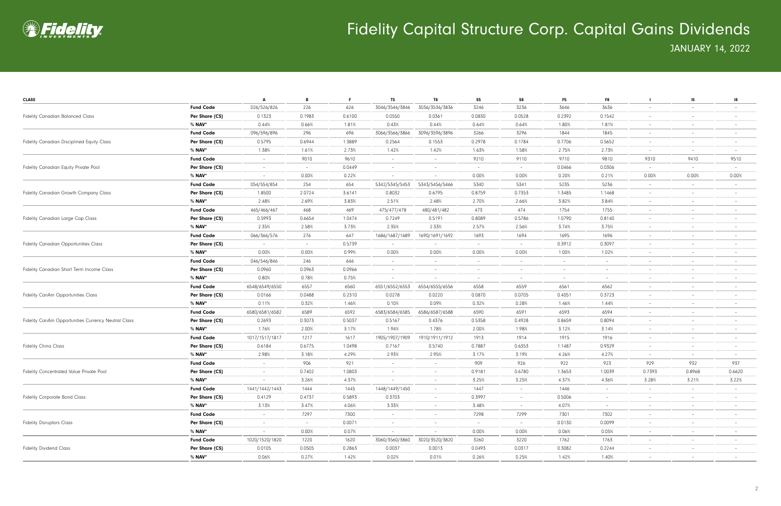

| <b>CLASS</b>                                        |                  | A                        | B                        |        | <b>T5</b>                | T8                       | S <sub>5</sub>           | S8                       | F <sub>5</sub>           | F8                       |                          | 15                       | 18                       |
|-----------------------------------------------------|------------------|--------------------------|--------------------------|--------|--------------------------|--------------------------|--------------------------|--------------------------|--------------------------|--------------------------|--------------------------|--------------------------|--------------------------|
|                                                     | <b>Fund Code</b> | 026/526/826              | 226                      | 626    | 3046/3546/3846           | 3036/3536/3836           | 3246                     | 3236                     | 3646                     | 3636                     |                          | $\overline{\phantom{a}}$ |                          |
| <b>Fidelity Canadian Balanced Class</b>             | Per Share (C\$)  | 0.1323                   | 0.1983                   | 0.6100 | 0.0550                   | 0.0361                   | 0.0830                   | 0.0528                   | 0.2392                   | 0.1542                   | -                        | $\overline{\phantom{a}}$ |                          |
|                                                     | % NAV*           | 0.44%                    | 0.66%                    | 1.81%  | 0.43%                    | 0.44%                    | 0.64%                    | 0.64%                    | 1.80%                    | 1.81%                    | -                        | $\overline{\phantom{m}}$ |                          |
|                                                     | <b>Fund Code</b> | 096/596/896              | 296                      | 696    | 3066/3566/3866           | 3096/3596/3896           | 3266                     | 3296                     | 1844                     | 1845                     | $\overline{\phantom{a}}$ | $\overline{\phantom{a}}$ |                          |
| Fidelity Canadian Disciplined Equity Class          | Per Share (C\$)  | 0.5795                   | 0.6944                   | 1.3889 | 0.2564                   | 0.1553                   | 0.2978                   | 0.1784                   | 0.7706                   | 0.5652                   | $\overline{\phantom{a}}$ | $-$                      |                          |
|                                                     | % <b>NAV</b> *   | 1.38%                    | 1.61%                    | 2.73%  | 1.42%                    | 1.42%                    | 1.63%                    | 1.58%                    | 2.75%                    | 2.73%                    | $\overline{\phantom{a}}$ | $\sim$                   |                          |
|                                                     | <b>Fund Code</b> | $\sim$                   | 9010                     | 9610   | $\overline{\phantom{a}}$ | $\overline{\phantom{0}}$ | 9210                     | 9110                     | 9710                     | 9810                     | 9310                     | 9410                     | 9510                     |
| Fidelity Canadian Equity Private Pool               | Per Share (C\$)  | $\overline{\phantom{a}}$ | $\overline{\phantom{a}}$ | 0.0449 |                          |                          | $\overline{\phantom{a}}$ | $\overline{\phantom{a}}$ | 0.0466                   | 0.0306                   |                          | $\sim$                   |                          |
|                                                     | % NAV*           |                          | 0.00%                    | 0.22%  | $\overline{\phantom{a}}$ |                          | 0.00%                    | 0.00%                    | 0.20%                    | 0.21%                    | 0.00%                    | 0.00%                    | 0.00%                    |
|                                                     | <b>Fund Code</b> | 054/554/854              | 254                      | 654    | 5342/5345/5453           | 5343/5456/5466           | 5340                     | 5341                     | 5235                     | 5236                     |                          | $\overline{\phantom{a}}$ |                          |
| Fidelity Canadian Growth Company Class              | Per Share (C\$)  | 1.8500                   | 2.0724                   | 3.6141 | 0.8032                   | 0.6795                   | 0.8759                   | 0.7353                   | 1.3485                   | 1.1468                   | $\overline{\phantom{0}}$ | $\overline{\phantom{a}}$ |                          |
|                                                     | % NAV*           | 2.48%                    | 2.69%                    | 3.83%  | 2.51%                    | 2.48%                    | 2.70%                    | 2.66%                    | 3.82%                    | 3.84%                    | $\overline{\phantom{0}}$ | $\overline{\phantom{a}}$ |                          |
|                                                     | <b>Fund Code</b> | 465/466/467              | 468                      | 469    | 475/477/478              | 480/481/482              | 473                      | 474                      | 1754                     | 1755                     | $\overline{\phantom{a}}$ | $\overline{\phantom{a}}$ |                          |
| Fidelity Canadian Large Cap Class                   | Per Share (C\$)  | 0.5993                   | 0.6654                   | 1.0474 | 0.7249                   | 0.5191                   | 0.8089                   | 0.5786                   | 1.0790                   | 0.8140                   | $\overline{\phantom{a}}$ | $\overline{\phantom{0}}$ |                          |
|                                                     | % <b>NAV</b> *   | 2.35%                    | 2.58%                    | 3.73%  | 2.35%                    | 2.33%                    | 2.57%                    | 2.56%                    | 3.74%                    | 3.75%                    | $\overline{\phantom{a}}$ | $\overline{\phantom{a}}$ |                          |
|                                                     | <b>Fund Code</b> | 066/366/576              | 276                      | 647    | 1686/1687/1689           | 1690/1691/1692           | 1693                     | 1694                     | 1695                     | 1696                     | $\overline{\phantom{a}}$ | $\overline{\phantom{a}}$ |                          |
| <b>Fidelity Canadian Opportunities Class</b>        | Per Share (C\$)  |                          | $\overline{\phantom{a}}$ | 0.5739 |                          |                          | $\overline{\phantom{a}}$ |                          | 0.3912                   | 0.3097                   |                          | $\overline{\phantom{m}}$ |                          |
|                                                     | % NAV*           | 0.00%                    | 0.00%                    | 0.99%  | 0.00%                    | 0.00%                    | 0.00%                    | 0.00%                    | 1.00%                    | 1.02%                    | $\overline{\phantom{a}}$ | $\overline{\phantom{a}}$ |                          |
| Fidelity Canadian Short Term Income Class           | <b>Fund Code</b> | 046/546/846              | 246                      | 646    | $\overline{\phantom{m}}$ | $\overline{\phantom{0}}$ | $\overline{\phantom{a}}$ |                          | $\overline{\phantom{a}}$ | $\overline{\phantom{a}}$ |                          | $\overline{\phantom{a}}$ |                          |
|                                                     | Per Share (C\$)  | 0.0960                   | 0.0963                   | 0.0966 | $\overline{\phantom{a}}$ |                          | $\overline{\phantom{a}}$ |                          | $\qquad \qquad -$        | $\overline{\phantom{a}}$ |                          | $\overline{\phantom{a}}$ |                          |
|                                                     | % NAV*           | 0.80%                    | 0.78%                    | 0.75%  |                          |                          | $\overline{\phantom{a}}$ |                          | $\overline{\phantom{a}}$ | $\sim$                   | -                        | $\overline{\phantom{a}}$ |                          |
|                                                     | <b>Fund Code</b> | 6548/6549/6550           | 6557                     | 6560   | 6551/6552/6553           | 6554/6555/6556           | 6558                     | 6559                     | 6561                     | 6562                     | $\overline{\phantom{a}}$ | $\overline{\phantom{a}}$ |                          |
| Fidelity CanAm Opportunities Class                  | Per Share (C\$)  | 0.0166                   | 0.0488                   | 0.2310 | 0.0278                   | 0.0220                   | 0.0870                   | 0.0705                   | 0.4051                   | 0.3723                   | $-$                      | $\overline{\phantom{m}}$ |                          |
|                                                     | % NAV*           | 0.11%                    | 0.32%                    | 1.46%  | 0.10%                    | 0.09%                    | 0.32%                    | 0.28%                    | 1.46%                    | 1.44%                    | $\overline{\phantom{a}}$ | $\overline{\phantom{a}}$ |                          |
|                                                     | <b>Fund Code</b> | 6580/6581/6582           | 6589                     | 6592   | 6583/6584/6585           | 6586/6587/6588           | 6590                     | 6591                     | 6593                     | 6594                     | $\overline{\phantom{a}}$ | $\overline{\phantom{a}}$ |                          |
| Fidelity CanAm Opportunities Currency Neutral Class | Per Share (C\$)  | 0.2693                   | 0.3073                   | 0.5037 | 0.5167                   | 0.4376                   | 0.5358                   | 0.4928                   | 0.8659                   | 0.8094                   |                          | $\overline{\phantom{a}}$ |                          |
|                                                     | % <b>NAV</b> *   | 1.76%                    | 2.00%                    | 3.17%  | 1.94%                    | 1.78%                    | 2.00%                    | 1.98%                    | 3.12%                    | 3.14%                    | $\sim$                   | $\overline{\phantom{a}}$ | $\overline{\phantom{0}}$ |
|                                                     | <b>Fund Code</b> | 1017/1517/1817           | 1217                     | 1617   | 1905/1907/1909           | 1910/1911/1912           | 1913                     | 1914                     | 1915                     | 1916                     | -                        | $\overline{\phantom{a}}$ |                          |
| <b>Fidelity China Class</b>                         | Per Share (C\$)  | 0.6184                   | 0.6775                   | 1.0498 | 0.7167                   | 0.5740                   | 0.7887                   | 0.6353                   | 1.1487                   | 0.9329                   |                          | $\overline{\phantom{a}}$ |                          |
|                                                     | % NAV*           | 2.98%                    | 3.18%                    | 4.29%  | 2.93%                    | 2.95%                    | 3.17%                    | 3.19%                    | 4.26%                    | 4.27%                    | $\overline{\phantom{a}}$ | $\sim$                   | $\overline{\phantom{0}}$ |
|                                                     | <b>Fund Code</b> |                          | 906                      | 921    | $\overline{\phantom{m}}$ | $-$                      | 909                      | 926                      | 922                      | 923                      | 929                      | 932                      | 937                      |
| Fidelity Concentrated Value Private Pool            | Per Share (C\$)  | $\overline{\phantom{m}}$ | 0.7402                   | 1.0803 |                          |                          | 0.9181                   | 0.6780                   | 1.3653                   | 1.0039                   | 0.7393                   | 0.8968                   | 0.6620                   |
|                                                     | $%$ NAV*         | $\sim$                   | 3.26%                    | 4.37%  | $\overline{\phantom{a}}$ | $-$                      | 3.25%                    | 3.25%                    | 4.37%                    | 4.36%                    | 3.28%                    | 3.21%                    | 3.22%                    |
|                                                     | <b>Fund Code</b> | 1441/1442/1443           | 1444                     | 1445   | 1448/1449/1450           | $\sim$                   | 1447                     | $-$                      | 1446                     | $\sim$                   | $\sim$                   | $\sim$                   |                          |
| <b>Fidelity Corporate Bond Class</b>                | Per Share (C\$)  | 0.4129                   | 0.4737                   | 0.5893 | 0.3703                   | $\sim$                   | 0.3997                   | $-$                      | 0.5006                   | $\overline{\phantom{a}}$ | $\overline{\phantom{a}}$ | $\overline{\phantom{a}}$ |                          |
|                                                     | % <b>NAV</b> *   | 3.13%                    | 3.47%                    | 4.06%  | 3.33%                    | $\sim$                   | 3.48%                    | $\sim$                   | 4.07%                    | $\sim$                   | $\sim$                   | $-$                      | $\overline{\phantom{a}}$ |
|                                                     | <b>Fund Code</b> | $\sim$                   | 7297                     | 7300   | $\overline{\phantom{a}}$ | $\overline{\phantom{a}}$ | 7298                     | 7299                     | 7301                     | 7302                     | $\overline{\phantom{a}}$ | $\sim$                   | $\overline{\phantom{a}}$ |
| <b>Fidelity Disruptors Class</b>                    | Per Share (C\$)  | $\sim$                   | $\overline{\phantom{a}}$ | 0.0071 | $\sim$                   |                          | $\sim$                   | $\sim$                   | 0.0130                   | 0.0099                   | $-$                      | $\overline{\phantom{a}}$ |                          |
|                                                     | $%$ NAV*         | $\sim$                   | 0.00%                    | 0.07%  | $\overline{\phantom{a}}$ | $\overline{\phantom{a}}$ | 0.00%                    | 0.00%                    | 0.06%                    | 0.05%                    | $\sim$                   | $\sim$                   |                          |
|                                                     | <b>Fund Code</b> | 1020/1520/1820           | 1220                     | 1620   | 3060/3560/3860           | 3020/3520/3820           | 3260                     | 3220                     | 1762                     | 1763                     | $\sim$                   | $\overline{\phantom{a}}$ |                          |
| <b>Fidelity Dividend Class</b>                      | Per Share (C\$)  | 0.0105                   | 0.0505                   | 0.2863 | 0.0037                   | 0.0013                   | 0.0493                   | 0.0317                   | 0.3082                   | 0.2244                   | $\overline{\phantom{a}}$ | $\overline{\phantom{0}}$ | $\overline{\phantom{a}}$ |
|                                                     | $%$ NAV*         | 0.06%                    | 0.27%                    | 1.42%  | 0.02%                    | 0.01%                    | 0.26%                    | 0.25%                    | 1.42%                    | 1.40%                    | $\overline{\phantom{a}}$ | $\overline{\phantom{a}}$ |                          |
|                                                     |                  |                          |                          |        |                          |                          |                          |                          |                          |                          |                          |                          |                          |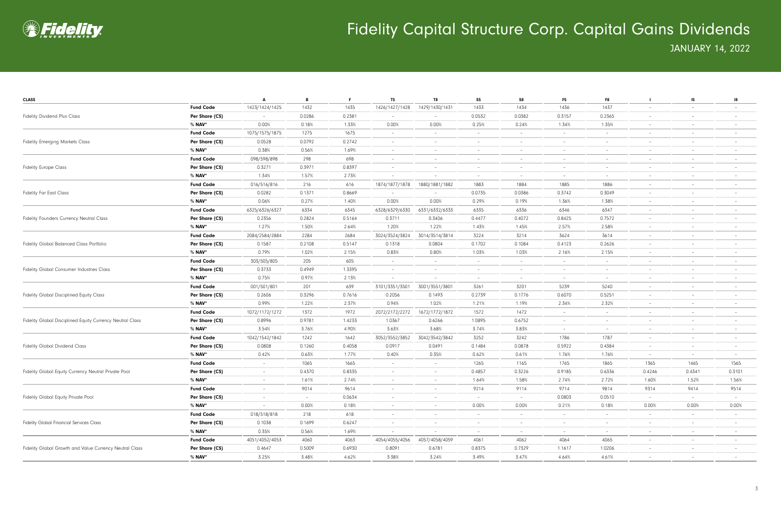

| <b>CLASS</b>                                              |                  | A                        | B      | F.     | <b>T5</b>                | T8                       | S <sub>5</sub>                  | S8     | F <sub>5</sub>           | F8                              |                          | 15 <sub>15</sub>         | 18                       |
|-----------------------------------------------------------|------------------|--------------------------|--------|--------|--------------------------|--------------------------|---------------------------------|--------|--------------------------|---------------------------------|--------------------------|--------------------------|--------------------------|
|                                                           | <b>Fund Code</b> | 1423/1424/1425           | 1432   | 1435   | 1426/1427/1428           | 1429/1430/1431           | 1433                            | 1434   | 1436                     | 1437                            | $\overline{\phantom{a}}$ | $\overline{\phantom{0}}$ | $\qquad \qquad -$        |
| <b>Fidelity Dividend Plus Class</b>                       | Per Share (C\$)  |                          | 0.0286 | 0.2381 |                          |                          | 0.0532                          | 0.0382 | 0.3157                   | 0.2365                          |                          | $\overline{\phantom{m}}$ |                          |
|                                                           | % <b>NAV</b> *   | 0.00%                    | 0.18%  | 1.33%  | 0.00%                    | 0.00%                    | 0.25%                           | 0.24%  | 1.34%                    | 1.35%                           | $\overline{\phantom{a}}$ | $\overline{\phantom{a}}$ | $\overline{\phantom{0}}$ |
|                                                           | <b>Fund Code</b> | 1075/1575/1875           | 1275   | 1675   |                          |                          | $\overline{\phantom{a}}$        |        | $\overline{\phantom{a}}$ | $\overline{\phantom{a}}$        |                          | $\overline{\phantom{a}}$ |                          |
| <b>Fidelity Emerging Markets Class</b>                    | Per Share (C\$)  | 0.0528                   | 0.0792 | 0.2742 | $\overline{\phantom{a}}$ |                          | $\overline{\phantom{a}}$        |        | $\overline{\phantom{a}}$ | $\hspace{0.1mm}-\hspace{0.1mm}$ |                          | $\overline{\phantom{m}}$ |                          |
|                                                           | % <b>NAV</b> *   | 0.38%                    | 0.56%  | 1.69%  | $\overline{\phantom{a}}$ | $\overline{\phantom{a}}$ | $\overline{\phantom{a}}$        |        | $\overline{\phantom{a}}$ | $\overline{\phantom{a}}$        | -                        | $\sim$                   |                          |
|                                                           | <b>Fund Code</b> | 098/598/898              | 298    | 698    | $\overline{\phantom{a}}$ |                          | $\overline{\phantom{a}}$        |        | $\overline{\phantom{a}}$ | $\overline{\phantom{0}}$        | -                        | $\overline{\phantom{a}}$ |                          |
| <b>Fidelity Europe Class</b>                              | Per Share (C\$)  | 0.3271                   | 0.3971 | 0.8397 | $\overline{\phantom{a}}$ |                          | $\overline{\phantom{a}}$        |        | $\overline{\phantom{a}}$ | $\overline{\phantom{0}}$        | -                        | $\overline{\phantom{0}}$ |                          |
|                                                           | % <b>NAV</b> *   | 1.34%                    | 1.57%  | 2.73%  |                          |                          | $\overline{\phantom{a}}$        | $-$    | $\overline{\phantom{a}}$ | $\overline{\phantom{a}}$        | $\overline{\phantom{a}}$ | $\overline{\phantom{a}}$ | $\qquad \qquad -$        |
|                                                           | <b>Fund Code</b> | 016/516/816              | 216    | 616    | 1874/1877/1878           | 1880/1881/1882           | 1883                            | 1884   | 1885                     | 1886                            | $\overline{\phantom{m}}$ | $\overline{\phantom{0}}$ | $\qquad \qquad -$        |
| <b>Fidelity Far East Class</b>                            | Per Share (C\$)  | 0.0282                   | 0.1371 | 0.8669 | $\overline{\phantom{a}}$ |                          | 0.0735                          | 0.0386 | 0.3742                   | 0.3049                          | $\overline{\phantom{m}}$ | $\overline{\phantom{m}}$ |                          |
|                                                           | % <b>NAV</b> *   | 0.06%                    | 0.27%  | 1.40%  | 0.00%                    | 0.00%                    | 0.29%                           | 0.19%  | 1.36%                    | 1.38%                           | -                        | $\overline{\phantom{a}}$ |                          |
|                                                           | <b>Fund Code</b> | 6325/6326/6327           | 6334   | 6345   | 6328/6329/6330           | 6331/6332/6333           | 6335                            | 6336   | 6346                     | 6347                            | $\overline{\phantom{a}}$ | $\overline{\phantom{a}}$ |                          |
| Fidelity Founders Currency Neutral Class                  | Per Share (C\$)  | 0.2356                   | 0.2824 | 0.5164 | 0.3711                   | 0.3406                   | 0.4477                          | 0.4072 | 0.8425                   | 0.7572                          | -                        |                          |                          |
|                                                           | % <b>NAV</b> *   | 1.27%                    | 1.50%  | 2.64%  | 1.20%                    | 1.22%                    | 1.43%                           | 1.45%  | 2.57%                    | 2.58%                           | $\overline{\phantom{a}}$ | $\overline{\phantom{a}}$ |                          |
|                                                           | <b>Fund Code</b> | 2084/2584/2884           | 2284   | 2684   | 3024/3524/3824           | 3014/3514/3814           | 3224                            | 3214   | 3624                     | 3614                            | $\overline{\phantom{a}}$ | $-$                      |                          |
| <b>Fidelity Global Balanced Class Portfolio</b>           | Per Share (C\$)  | 0.1587                   | 0.2108 | 0.5147 | 0.1318                   | 0.0804                   | 0.1702                          | 0.1084 | 0.4123                   | 0.2626                          | -                        | $\overline{\phantom{0}}$ |                          |
|                                                           | % <b>NAV</b> *   | 0.79%                    | 1.02%  | 2.15%  | 0.83%                    | 0.80%                    | 1.03%                           | 1.03%  | 2.16%                    | 2.15%                           | $\overline{\phantom{a}}$ | $\overline{\phantom{a}}$ |                          |
|                                                           | <b>Fund Code</b> | 303/505/805              | 205    | 605    | $\overline{\phantom{a}}$ | $-$                      | $\overline{\phantom{a}}$        | $-$    | $\sim$                   | $-$                             | $\overline{\phantom{m}}$ | $-$                      | $\overline{\phantom{0}}$ |
| <b>Fidelity Global Consumer Industries Class</b>          | Per Share (C\$)  | 0.3733                   | 0.4949 | 1.3395 | $\overline{\phantom{a}}$ |                          | $\hspace{0.1mm}-\hspace{0.1mm}$ |        | $\overline{\phantom{a}}$ | $\overline{\phantom{0}}$        | -                        | $\overline{\phantom{m}}$ |                          |
|                                                           | % <b>NAV</b> *   | 0.75%                    | 0.97%  | 2.13%  |                          |                          | $\overline{\phantom{a}}$        |        | $\overline{\phantom{a}}$ | $\overline{\phantom{a}}$        | -                        | $\overline{\phantom{a}}$ | $\overline{\phantom{0}}$ |
|                                                           | <b>Fund Code</b> | 001/501/801              | 201    | 639    | 3101/3351/3501           | 3001/3551/3801           | 3261                            | 3201   | 5239                     | 5240                            |                          | $\overline{\phantom{m}}$ |                          |
| Fidelity Global Disciplined Equity Class                  | Per Share (C\$)  | 0.2606                   | 0.3296 | 0.7616 | 0.2056                   | 0.1493                   | 0.2739                          | 0.1776 | 0.6070                   | 0.5251                          | -                        |                          |                          |
|                                                           | % <b>NAV</b> *   | 0.99%                    | 1.22%  | 2.37%  | 0.94%                    | 1.02%                    | 1.21%                           | 1.19%  | 2.34%                    | 2.32%                           | $\overline{\phantom{a}}$ | $\overline{\phantom{a}}$ | $\overline{\phantom{a}}$ |
|                                                           | <b>Fund Code</b> | 1072/1172/1272           | 1372   | 1972   | 2072/2172/2272           | 1672/1772/1872           | 1572                            | 1472   | $\overline{\phantom{a}}$ | $\sim$                          | $\overline{\phantom{a}}$ | $\overline{\phantom{a}}$ |                          |
| Fidelity Global Disciplined Equity Currency Neutral Class | Per Share (C\$)  | 0.8996                   | 0.9781 | 1.4233 | 1.0367                   | 0.6266                   | 1.0895                          | 0.6752 | $\overline{\phantom{a}}$ | $\overline{\phantom{0}}$        | -                        | $\overline{\phantom{0}}$ |                          |
|                                                           | % <b>NAV</b> *   | 3.54%                    | 3.76%  | 4.90%  | 3.63%                    | 3.68%                    | 3.74%                           | 3.83%  | $\overline{\phantom{a}}$ | $\sim$                          | $\overline{\phantom{a}}$ | $\overline{\phantom{a}}$ |                          |
|                                                           | <b>Fund Code</b> | 1042/1542/1842           | 1242   | 1642   | 3052/3552/3852           | 3042/3542/3842           | 3252                            | 3242   | 1786                     | 1787                            | $\overline{\phantom{a}}$ | $\overline{\phantom{0}}$ | $\qquad \qquad -$        |
| <b>Fidelity Global Dividend Class</b>                     | Per Share (C\$)  | 0.0808                   | 0.1260 | 0.4058 | 0.0917                   | 0.0491                   | 0.1484                          | 0.0878 | 0.5922                   | 0.4384                          | $\overline{\phantom{a}}$ | $\overline{\phantom{0}}$ |                          |
|                                                           | % <b>NAV</b> *   | 0.42%                    | 0.63%  | 1.77%  | 0.40%                    | 0.35%                    | 0.62%                           | 0.61%  | 1.76%                    | 1.76%                           | $\overline{\phantom{a}}$ | $\sim$                   |                          |
|                                                           | <b>Fund Code</b> | $\overline{\phantom{a}}$ | 1065   | 1665   | $\overline{\phantom{a}}$ | $\overline{\phantom{a}}$ | 1265                            | 1165   | 1765                     | 1865                            | 1365                     | 1465                     | 1565                     |
| Fidelity Global Equity Currency Neutral Private Pool      | Per Share (C\$)  | $\overline{\phantom{a}}$ | 0.4370 | 0.8335 |                          |                          | 0.4857                          | 0.3226 | 0.9185                   | 0.6336                          | 0.4246                   | 0.4341                   | 0.3101                   |
|                                                           | % NAV*           | $\overline{\phantom{a}}$ | 1.61%  | 2.74%  | $\overline{\phantom{a}}$ | $\sim$                   | 1.64%                           | 1.58%  | 2.74%                    | 2.72%                           | 1.60%                    | 1.52%                    | 1.56%                    |
|                                                           | <b>Fund Code</b> | $\overline{\phantom{a}}$ | 9014   | 9614   | $\overline{\phantom{a}}$ | $\overline{\phantom{a}}$ | 9214                            | 9114   | 9714                     | 9814                            | 9314                     | 9414                     | 9514                     |
| Fidelity Global Equity Private Pool                       | Per Share (C\$)  | $\overline{\phantom{a}}$ | $\sim$ | 0.0634 | $\overline{\phantom{a}}$ |                          | $\overline{\phantom{a}}$        | $-$    | 0.0803                   | 0.0510                          | $\overline{\phantom{a}}$ | $ \,$                    |                          |
|                                                           | % <b>NAV</b> *   | $\overline{\phantom{a}}$ | 0.00%  | 0.18%  | $\sim$                   | $-$                      | 0.00%                           | 0.00%  | 0.21%                    | 0.18%                           | 0.00%                    | 0.00%                    | 0.00%                    |
|                                                           | <b>Fund Code</b> | 018/518/818              | 218    | 618    | $\sim$                   | $-$                      | $\sim$                          | $\sim$ | $\sim$                   | $\sim$                          | $\sim$                   | $\sim$                   | $\overline{\phantom{a}}$ |
| Fidelity Global Financial Services Class                  | Per Share (C\$)  | 0.1038                   | 0.1699 | 0.6247 | $\overline{\phantom{a}}$ | $-$                      | $\overline{\phantom{a}}$        |        | $\overline{\phantom{a}}$ | $\overline{\phantom{a}}$        | $\overline{\phantom{a}}$ | $\sim$                   |                          |
|                                                           | $%$ NAV*         | 0.35%                    | 0.56%  | 1.69%  |                          |                          | $\overline{\phantom{a}}$        |        | $\sim$                   | $\sim$                          | $\overline{\phantom{a}}$ | $\sim$                   | $\overline{\phantom{a}}$ |
|                                                           | <b>Fund Code</b> | 4051/4052/4053           | 4060   | 4063   | 4054/4055/4056           | 4057/4058/4059           | 4061                            | 4062   | 4064                     | 4065                            | $\overline{\phantom{a}}$ | $\overline{\phantom{a}}$ |                          |
| Fidelity Global Growth and Value Currency Neutral Class   | Per Share (C\$)  | 0.4647                   | 0.5009 | 0.6930 | 0.8091                   | 0.6781                   | 0.8375                          | 0.7329 | 1.1617                   | 1.0206                          | $\overline{\phantom{a}}$ | $\overline{\phantom{a}}$ | $\overline{\phantom{a}}$ |
|                                                           | $%$ NAV*         | 3.25%                    | 3.48%  | 4.62%  | 3.38%                    | 3.24%                    | 3.49%                           | 3.47%  | 4.64%                    | 4.61%                           | $\overline{\phantom{a}}$ |                          |                          |
|                                                           |                  |                          |        |        |                          |                          |                                 |        |                          |                                 |                          |                          |                          |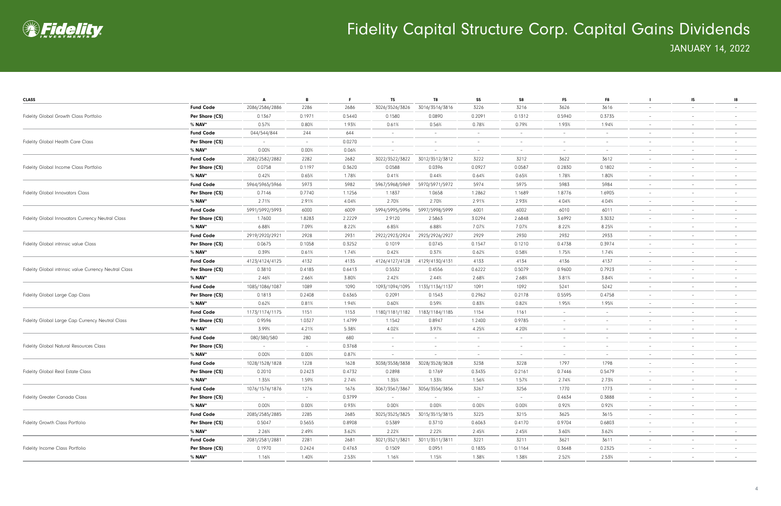

| <b>CLASS</b>                                           |                  | A                               | B      | F.     | T <sub>5</sub>           | T8             | S <sub>5</sub>           | S8                       | F <sub>5</sub>           | F8                       |                          | 15 <sub>15</sub>         | 18                              |
|--------------------------------------------------------|------------------|---------------------------------|--------|--------|--------------------------|----------------|--------------------------|--------------------------|--------------------------|--------------------------|--------------------------|--------------------------|---------------------------------|
|                                                        | <b>Fund Code</b> | 2086/2586/2886                  | 2286   | 2686   | 3026/3526/3826           | 3016/3516/3816 | 3226                     | 3216                     | 3626                     | 3616                     | $\overline{\phantom{a}}$ | $\overline{\phantom{0}}$ |                                 |
| Fidelity Global Growth Class Portfolio                 | Per Share (C\$)  | 0.1367                          | 0.1971 | 0.5440 | 0.1580                   | 0.0890         | 0.2091                   | 0.1312                   | 0.5940                   | 0.3735                   |                          | $\overline{\phantom{a}}$ |                                 |
|                                                        | % <b>NAV</b> *   | 0.57%                           | 0.80%  | 1.93%  | 0.61%                    | 0.56%          | 0.78%                    | 0.79%                    | 1.93%                    | 1.94%                    | $\overline{\phantom{a}}$ | $\overline{\phantom{a}}$ |                                 |
|                                                        | <b>Fund Code</b> | 044/544/844                     | 244    | 644    |                          |                | $\overline{\phantom{a}}$ |                          | $\overline{\phantom{a}}$ | $\overline{\phantom{a}}$ |                          | $\overline{\phantom{a}}$ |                                 |
| <b>Fidelity Global Health Care Class</b>               | Per Share (C\$)  | $\hspace{0.1mm}-\hspace{0.1mm}$ | $\sim$ | 0.0270 |                          |                | $\overline{\phantom{a}}$ |                          | $\overline{\phantom{a}}$ | $\overline{\phantom{a}}$ |                          |                          |                                 |
|                                                        | % <b>NAV</b> *   | 0.00%                           | 0.00%  | 0.06%  |                          |                | $\overline{\phantom{a}}$ |                          | $\overline{\phantom{a}}$ | $\overline{\phantom{a}}$ |                          | $\overline{\phantom{a}}$ |                                 |
|                                                        | <b>Fund Code</b> | 2082/2582/2882                  | 2282   | 2682   | 3022/3522/3822           | 3012/3512/3812 | 3222                     | 3212                     | 3622                     | 3612                     |                          | $\overline{\phantom{a}}$ |                                 |
| Fidelity Global Income Class Portfolio                 | Per Share (C\$)  | 0.0758                          | 0.1197 | 0.3620 | 0.0588                   | 0.0396         | 0.0927                   | 0.0587                   | 0.2830                   | 0.1802                   |                          | $\overline{\phantom{0}}$ |                                 |
|                                                        | % <b>NAV</b> *   | 0.42%                           | 0.65%  | 1.78%  | 0.41%                    | 0.44%          | 0.64%                    | 0.65%                    | 1.78%                    | 1.80%                    | $\overline{\phantom{a}}$ | $\overline{\phantom{m}}$ |                                 |
|                                                        | <b>Fund Code</b> | 5964/5965/5966                  | 5973   | 5982   | 5967/5968/5969           | 5970/5971/5972 | 5974                     | 5975                     | 5983                     | 5984                     | $-$                      | $\overline{\phantom{m}}$ |                                 |
| <b>Fidelity Global Innovators Class</b>                | Per Share (C\$)  | 0.7146                          | 0.7740 | 1.1256 | 1.1837                   | 1.0658         | 1.2862                   | 1.1689                   | 1.8776                   | 1.6905                   |                          | $\qquad \qquad -$        |                                 |
|                                                        | % <b>NAV</b> *   | 2.71%                           | 2.91%  | 4.04%  | 2.70%                    | 2.70%          | 2.91%                    | 2.93%                    | 4.04%                    | 4.04%                    |                          | $\overline{\phantom{a}}$ |                                 |
|                                                        | <b>Fund Code</b> | 5991/5992/5993                  | 6000   | 6009   | 5994/5995/5996           | 5997/5998/5999 | 6001                     | 6002                     | 6010                     | 6011                     |                          | $\overline{\phantom{a}}$ |                                 |
| Fidelity Global Innovators Currency Neutral Class      | Per Share (C\$)  | 1.7600                          | 1.8283 | 2.2229 | 2.9120                   | 2.5863         | 3.0294                   | 2.6848                   | 3.6992                   | 3.3032                   |                          |                          |                                 |
|                                                        | % <b>NAV</b> *   | 6.88%                           | 7.09%  | 8.22%  | 6.85%                    | 6.88%          | 7.07%                    | 7.07%                    | 8.22%                    | 8.25%                    | $\overline{\phantom{a}}$ | $\overline{\phantom{a}}$ |                                 |
|                                                        | <b>Fund Code</b> | 2919/2920/2921                  | 2928   | 2931   | 2922/2923/2924           | 2925/2926/2927 | 2929                     | 2930                     | 2932                     | 2933                     | $\overline{\phantom{a}}$ | $\overline{\phantom{a}}$ |                                 |
| Fidelity Global intrinsic value Class                  | Per Share (C\$)  | 0.0675                          | 0.1058 | 0.3252 | 0.1019                   | 0.0745         | 0.1547                   | 0.1210                   | 0.4738                   | 0.3974                   |                          | $\overline{\phantom{0}}$ |                                 |
|                                                        | % NAV*           | 0.39%                           | 0.61%  | 1.74%  | 0.42%                    | 0.37%          | 0.62%                    | 0.58%                    | 1.75%                    | 1.74%                    | $\overline{\phantom{m}}$ | $\overline{\phantom{a}}$ |                                 |
|                                                        | <b>Fund Code</b> | 4123/4124/4125                  | 4132   | 4135   | 4126/4127/4128           | 4129/4130/4131 | 4133                     | 4134                     | 4136                     | 4137                     | $-$                      | $-$                      |                                 |
| Fidelity Global intrinsic value Currency Neutral Class | Per Share (C\$)  | 0.3810                          | 0.4185 | 0.6413 | 0.5532                   | 0.4556         | 0.6222                   | 0.5079                   | 0.9600                   | 0.7923                   |                          | $\qquad \qquad -$        |                                 |
|                                                        | % <b>NAV</b> *   | 2.46%                           | 2.66%  | 3.80%  | 2.42%                    | 2.44%          | 2.68%                    | 2.68%                    | 3.81%                    | 3.84%                    |                          | $\overline{\phantom{a}}$ |                                 |
|                                                        | <b>Fund Code</b> | 1085/1086/1087                  | 1089   | 1090   | 1093/1094/1095           | 1135/1136/1137 | 1091                     | 1092                     | 5241                     | 5242                     |                          | $\overline{\phantom{a}}$ |                                 |
| Fidelity Global Large Cap Class                        | Per Share (C\$)  | 0.1813                          | 0.2408 | 0.6365 | 0.2091                   | 0.1543         | 0.2962                   | 0.2178                   | 0.5595                   | 0.4758                   |                          |                          |                                 |
|                                                        | % <b>NAV</b> *   | 0.62%                           | 0.81%  | 1.94%  | 0.60%                    | 0.59%          | 0.83%                    | 0.82%                    | 1.95%                    | 1.95%                    |                          | $\overline{\phantom{a}}$ |                                 |
|                                                        | <b>Fund Code</b> | 1173/1174/1175                  | 1151   | 1153   | 1180/1181/1182           | 1183/1184/1185 | 1154                     | 1161                     | $\overline{\phantom{a}}$ | $\overline{\phantom{a}}$ |                          | $\overline{\phantom{a}}$ |                                 |
| Fidelity Global Large Cap Currency Neutral Class       | Per Share (C\$)  | 0.9596                          | 1.0327 | 1.4799 | 1.1542                   | 0.8947         | 1.2400                   | 0.9785                   | $\overline{\phantom{a}}$ | $\overline{\phantom{m}}$ |                          | $\overline{\phantom{m}}$ |                                 |
|                                                        | % NAV*           | 3.99%                           | 4.21%  | 5.38%  | 4.02%                    | 3.97%          | 4.25%                    | 4.20%                    | $\overline{\phantom{a}}$ | $\overline{\phantom{a}}$ | $\overline{\phantom{a}}$ | $\overline{\phantom{m}}$ |                                 |
|                                                        | <b>Fund Code</b> | 080/380/580                     | 280    | 680    | $\overline{\phantom{a}}$ | $-$            | $\overline{\phantom{a}}$ | $\overline{\phantom{0}}$ | $\overline{\phantom{a}}$ | $\overline{\phantom{0}}$ | $\overline{\phantom{a}}$ | $\overline{\phantom{m}}$ |                                 |
| <b>Fidelity Global Natural Resources Class</b>         | Per Share (C\$)  | $\sim$                          | $\sim$ | 0.3768 | $\qquad \qquad -$        |                | $\overline{\phantom{a}}$ |                          | $\overline{\phantom{m}}$ | $\overline{\phantom{0}}$ |                          | $\qquad \qquad -$        |                                 |
|                                                        | % <b>NAV</b> *   | 0.00%                           | 0.00%  | 0.87%  | $\overline{\phantom{a}}$ |                | $\overline{\phantom{a}}$ |                          | $\overline{\phantom{a}}$ | $\overline{\phantom{a}}$ |                          | $\overline{\phantom{a}}$ |                                 |
|                                                        | <b>Fund Code</b> | 1028/1528/1828                  | 1228   | 1628   | 3038/3538/3838           | 3028/3528/3828 | 3238                     | 3228                     | 1797                     | 1798                     |                          | $\overline{\phantom{a}}$ |                                 |
| <b>Fidelity Global Real Estate Class</b>               | Per Share (C\$)  | 0.2010                          | 0.2423 | 0.4732 | 0.2898                   | 0.1769         | 0.3435                   | 0.2161                   | 0.7446                   | 0.5479                   |                          |                          |                                 |
|                                                        | % NAV*           | 1.35%                           | 1.59%  | 2.74%  | 1.35%                    | 1.33%          | 1.56%                    | 1.57%                    | 2.74%                    | 2.73%                    | $\overline{\phantom{a}}$ | $\overline{\phantom{a}}$ |                                 |
|                                                        | <b>Fund Code</b> | 1076/1576/1876                  | 1276   | 1676   | 3067/3567/3867           | 3056/3556/3856 | 3267                     | 3256                     | 1770                     | 1773                     | $\overline{\phantom{a}}$ | $\overline{\phantom{a}}$ |                                 |
| <b>Fidelity Greater Canada Class</b>                   | Per Share (C\$)  |                                 | $\sim$ | 0.3799 |                          |                | $\overline{\phantom{a}}$ | $-$                      | 0.4634                   | 0.3888                   | $\overline{\phantom{a}}$ | $\overline{\phantom{a}}$ |                                 |
|                                                        | $%$ NAV*         | 0.00%                           | 0.00%  | 0.93%  | 0.00%                    | $0.00\%$       | 0.00%                    | 0.00%                    | 0.92%                    | 0.92%                    | $\sim$                   | $\overline{\phantom{a}}$ |                                 |
|                                                        | <b>Fund Code</b> | 2085/2585/2885                  | 2285   | 2685   | 3025/3525/3825           | 3015/3515/3815 | 3225                     | 3215                     | 3625                     | 3615                     | $\sim$                   | $\sim$                   | $\hspace{0.1mm}-\hspace{0.1mm}$ |
| Fidelity Growth Class Portfolio                        | Per Share (C\$)  | 0.5047                          | 0.5655 | 0.8908 | 0.5389                   | 0.3710         | 0.6063                   | 0.4170                   | 0.9704                   | 0.6803                   | $\overline{\phantom{a}}$ | $\overline{\phantom{a}}$ |                                 |
|                                                        | % NAV*           | 2.26%                           | 2.49%  | 3.62%  | 2.22%                    | 2.22%          | 2.45%                    | 2.45%                    | 3.60%                    | 3.62%                    | $\overline{\phantom{a}}$ | $\overline{\phantom{a}}$ |                                 |
|                                                        | <b>Fund Code</b> | 2081/2581/2881                  | 2281   | 2681   | 3021/3521/382            | 3011/3511/3811 | 3221                     | 3211                     | 3621                     | 3611                     | $\sim$                   | $\overline{\phantom{a}}$ |                                 |
| Fidelity Income Class Portfolio                        | Per Share (C\$)  | 0.1970                          | 0.2424 | 0.4763 | 0.1509                   | 0.0951         | 0.1835                   | 0.1164                   | 0.3648                   | 0.2325                   | $\overline{\phantom{a}}$ | $\overline{\phantom{a}}$ |                                 |
|                                                        | % <b>NAV</b> *   | 1.16%                           | 1.40%  | 2.53%  | 1.16%                    | 1.15%          | 1.38%                    | 1.38%                    | 2.52%                    | 2.53%                    | $\overline{\phantom{a}}$ | $\overline{\phantom{a}}$ |                                 |
|                                                        |                  |                                 |        |        |                          |                |                          |                          |                          |                          |                          |                          |                                 |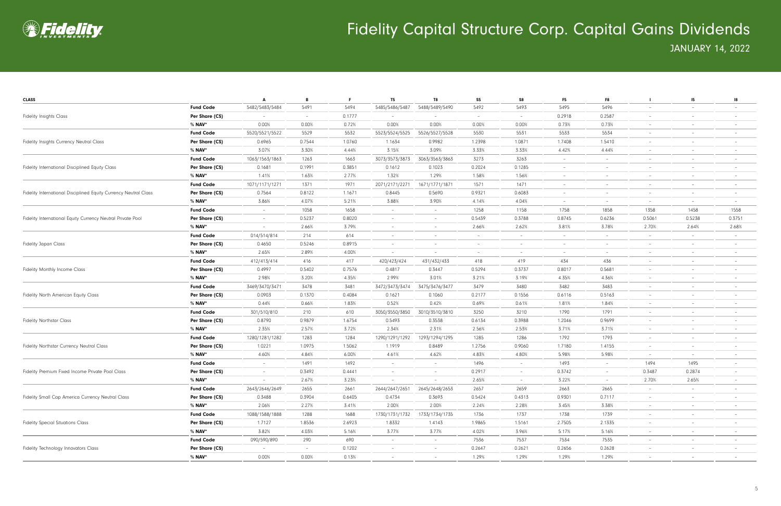

| <b>CLASS</b>                                                     |                  | A                        | B      | F.     | T <sub>5</sub>           | T8                       | S <sub>5</sub>           | S8                       | <b>F5</b>                | F8                              |                          | $15 -$                   | 18                       |
|------------------------------------------------------------------|------------------|--------------------------|--------|--------|--------------------------|--------------------------|--------------------------|--------------------------|--------------------------|---------------------------------|--------------------------|--------------------------|--------------------------|
|                                                                  | <b>Fund Code</b> | 5482/5483/5484           | 5491   | 5494   | 5485/5486/5487           | 5488/5489/5490           | 5492                     | 5493                     | 5495                     | 5496                            | $\overline{\phantom{0}}$ | $\overline{\phantom{a}}$ |                          |
| <b>Fidelity Insights Class</b>                                   | Per Share (C\$)  |                          | $\sim$ | 0.1777 | $\overline{\phantom{a}}$ |                          | $\overline{\phantom{a}}$ | $-$                      | 0.2918                   | 0.2587                          |                          | $\overline{\phantom{m}}$ |                          |
|                                                                  | % NAV*           | 0.00%                    | 0.00%  | 0.72%  | 0.00%                    | 0.00%                    | 0.00%                    | 0.00%                    | 0.73%                    | 0.73%                           | $\overline{\phantom{m}}$ | $\overline{\phantom{0}}$ |                          |
| Fidelity Insights Currency Neutral Class                         | <b>Fund Code</b> | 5520/5521/5522           | 5529   | 5532   | 5523/5524/5525           | 5526/5527/5528           | 5530                     | 5531                     | 5533                     | 5534                            | $\overline{\phantom{a}}$ | $\overline{\phantom{0}}$ |                          |
|                                                                  | Per Share (C\$)  | 0.6965                   | 0.7544 | 1.0760 | 1.1634                   | 0.9982                   | 1.2398                   | 1.0871                   | 1.7408                   | 1.5410                          | $\overline{\phantom{a}}$ | $\overline{\phantom{0}}$ |                          |
|                                                                  | % <b>NAV</b> *   | 3.07%                    | 3.30%  | 4.44%  | 3.15%                    | 3.09%                    | 3.33%                    | 3.33%                    | 4.42%                    | 4.44%                           | $\overline{\phantom{a}}$ | $\overline{\phantom{a}}$ |                          |
|                                                                  | <b>Fund Code</b> | 1063/1563/1863           | 1263   | 1663   | 3073/3573/3873           | 3063/3563/3863           | 3273                     | 3263                     | $\overline{\phantom{a}}$ | $\sim$                          | $\overline{\phantom{a}}$ | $-$                      |                          |
| Fidelity International Disciplined Equity Class                  | Per Share (C\$)  | 0.1681                   | 0.1991 | 0.3851 | 0.1612                   | 0.1023                   | 0.2024                   | 0.1285                   | $\overline{\phantom{a}}$ | $\hspace{0.1mm}-\hspace{0.1mm}$ |                          | $\overline{\phantom{a}}$ |                          |
|                                                                  | % NAV*           | 1.41%                    | 1.63%  | 2.77%  | 1.32%                    | 1.29%                    | 1.58%                    | 1.56%                    | $\overline{\phantom{a}}$ | $\overline{\phantom{0}}$        | $\overline{\phantom{a}}$ | $\overline{\phantom{a}}$ |                          |
|                                                                  | <b>Fund Code</b> | 1071/1171/1271           | 1371   | 1971   | 2071/2171/2271           | 1671/1771/1871           | 1571                     | 1471                     | $\overline{\phantom{a}}$ | $\overline{\phantom{0}}$        | -                        | $\overline{\phantom{0}}$ |                          |
| Fidelity International Disciplined Equity Currency Neutral Class | Per Share (C\$)  | 0.7564                   | 0.8122 | 1.1671 | 0.8445                   | 0.5690                   | 0.9321                   | 0.6083                   | $\overline{\phantom{m}}$ | $\overline{\phantom{0}}$        |                          | $\overline{\phantom{m}}$ |                          |
|                                                                  | % NAV*           | 3.86%                    | 4.07%  | 5.21%  | 3.88%                    | 3.90%                    | 4.14%                    | 4.04%                    | $\overline{\phantom{a}}$ | $\overline{\phantom{a}}$        | $\overline{\phantom{m}}$ | $-$                      | $\overline{\phantom{0}}$ |
|                                                                  | <b>Fund Code</b> | $\sim$                   | 1058   | 1658   | $\overline{\phantom{a}}$ | $-$                      | 1258                     | 1158                     | 1758                     | 1858                            | 1358                     | 1458                     | 1558                     |
| Fidelity International Equity Currency Neutral Private Pool      | Per Share (C\$)  | $\sim$                   | 0.5237 | 0.8020 | $\overline{\phantom{a}}$ |                          | 0.5439                   | 0.3788                   | 0.8745                   | 0.6236                          | 0.5061                   | 0.5238                   | 0.3751                   |
|                                                                  | % <b>NAV</b> *   |                          | 2.66%  | 3.79%  | $\overline{\phantom{a}}$ | $\overline{\phantom{a}}$ | 2.66%                    | 2.62%                    | 3.81%                    | 3.78%                           | 2.70%                    | 2.64%                    | 2.68%                    |
|                                                                  | <b>Fund Code</b> | 014/514/814              | 214    | 614    | $\overline{\phantom{a}}$ |                          | $\overline{\phantom{a}}$ |                          | $\overline{\phantom{a}}$ | $\overline{\phantom{a}}$        | -                        | $\sim$                   |                          |
| <b>Fidelity Japan Class</b>                                      | Per Share (C\$)  | 0.4650                   | 0.5246 | 0.8915 | $\overline{\phantom{m}}$ |                          | $\overline{\phantom{a}}$ |                          | $\overline{\phantom{a}}$ | $\overline{\phantom{a}}$        |                          | $\overline{\phantom{a}}$ |                          |
|                                                                  | % NAV*           | 2.65%                    | 2.89%  | 4.00%  | $\overline{\phantom{a}}$ | $-$                      | $\overline{\phantom{a}}$ | $-$                      | $\overline{\phantom{a}}$ | $\overline{\phantom{a}}$        | $\overline{\phantom{a}}$ | $\overline{\phantom{a}}$ |                          |
|                                                                  | <b>Fund Code</b> | 412/413/414              | 416    | 417    | 420/423/424              | 431/432/433              | 418                      | 419                      | 434                      | 436                             | $\overline{\phantom{a}}$ | $\overline{\phantom{a}}$ |                          |
| <b>Fidelity Monthly Income Class</b>                             | Per Share (C\$)  | 0.4997                   | 0.5402 | 0.7576 | 0.4817                   | 0.3447                   | 0.5294                   | 0.3737                   | 0.8017                   | 0.5681                          | -                        | $\overline{\phantom{m}}$ |                          |
|                                                                  | % NAV*           | 2.98%                    | 3.20%  | 4.35%  | 2.99%                    | 3.01%                    | 3.21%                    | 3.19%                    | 4.35%                    | 4.36%                           | $\overline{\phantom{m}}$ | $\overline{\phantom{0}}$ | $\qquad \qquad -$        |
|                                                                  | <b>Fund Code</b> | 3469/3470/3471           | 3478   | 3481   | 3472/3473/3474           | 3475/3476/3477           | 3479                     | 3480                     | 3482                     | 3483                            | $\overline{\phantom{a}}$ | $\overline{\phantom{0}}$ |                          |
| Fidelity North American Equity Class                             | Per Share (C\$)  | 0.0903                   | 0.1370 | 0.4084 | 0.1621                   | 0.1060                   | 0.2177                   | 0.1556                   | 0.6116                   | 0.5163                          | $\overline{\phantom{a}}$ | $\overline{\phantom{m}}$ |                          |
|                                                                  | % <b>NAV</b> *   | 0.44%                    | 0.66%  | 1.83%  | 0.52%                    | 0.42%                    | 0.69%                    | 0.61%                    | 1.81%                    | 1.84%                           | $\overline{\phantom{a}}$ | $\overline{\phantom{a}}$ |                          |
|                                                                  | <b>Fund Code</b> | 301/510/810              | 210    | 610    | 3050/3550/3850           | 3010/3510/3810           | 3250                     | 3210                     | 1790                     | 1791                            | $\overline{\phantom{a}}$ | $\overline{\phantom{a}}$ |                          |
| <b>Fidelity Northstar Class</b>                                  | Per Share (C\$)  | 0.8790                   | 0.9879 | 1.6754 | 0.5493                   | 0.3538                   | 0.6134                   | 0.3988                   | 1.2046                   | 0.9699                          |                          |                          |                          |
|                                                                  | % NAV*           | 2.35%                    | 2.57%  | 3.72%  | 2.34%                    | 2.31%                    | 2.56%                    | 2.53%                    | 3.71%                    | 3.71%                           | $\overline{\phantom{a}}$ | $\overline{\phantom{a}}$ |                          |
|                                                                  | <b>Fund Code</b> | 1280/1281/1282           | 1283   | 1284   | 1290/1291/1292           | 1293/1294/1295           | 1285                     | 1286                     | 1792                     | 1793                            | $\overline{\phantom{a}}$ | $\overline{\phantom{a}}$ |                          |
| <b>Fidelity Northstar Currency Neutral Class</b>                 | Per Share (C\$)  | 1.0221                   | 1.0975 | 1.5062 | 1.1919                   | 0.8489                   | 1.2756                   | 0.9060                   | 1.7180                   | 1.4155                          | -                        | $\overline{\phantom{m}}$ |                          |
|                                                                  | % NAV*           | 4.60%                    | 4.84%  | 6.00%  | 4.61%                    | 4.62%                    | 4.83%                    | 4.80%                    | 5.98%                    | 5.98%                           | $\overline{\phantom{a}}$ | $-$                      | $\qquad \qquad -$        |
|                                                                  | <b>Fund Code</b> | $\overline{\phantom{a}}$ | 1491   | 1492   |                          | $\overline{\phantom{0}}$ | 1496                     |                          | 1493                     | $\sim$                          | 1494                     | 1495                     |                          |
| Fidelity Premium Fixed Income Private Pool Class                 | Per Share (C\$)  | $\overline{\phantom{a}}$ | 0.3492 | 0.4441 |                          |                          | 0.2917                   |                          | 0.3742                   | $\hspace{0.1mm}-\hspace{0.1mm}$ | 0.3487                   | 0.2874                   |                          |
|                                                                  | % NAV*           | $\sim$                   | 2.67%  | 3.23%  | $\overline{\phantom{a}}$ | $\sim$                   | 2.65%                    | $\overline{\phantom{0}}$ | 3.22%                    | $\sim$                          | 2.70%                    | 2.65%                    |                          |
|                                                                  | <b>Fund Code</b> | 2643/2646/2649           | 2655   | 2661   | 2644/2647/2651           | 2645/2648/2653           | 2657                     | 2659                     | 2663                     | 2665                            |                          | $\overline{\phantom{a}}$ | $\overline{\phantom{a}}$ |
| Fidelity Small Cap America Currency Neutral Class                | Per Share (C\$)  | 0.3488                   | 0.3904 | 0.6405 | 0.4734                   | 0.3693                   | 0.5424                   | 0.4313                   | 0.9301                   | 0.7117                          | $\overline{\phantom{a}}$ | $\overline{\phantom{a}}$ |                          |
|                                                                  | % NAV*           | 2.06%                    | 2.27%  | 3.41%  | 2.00%                    | 2.00%                    | 2.24%                    | 2.28%                    | 3.45%                    | 3.38%                           | $\sim$                   | $\sim$                   | $\overline{\phantom{a}}$ |
|                                                                  | <b>Fund Code</b> | 1088/1588/1888           | 1288   | 1688   | 1730/1731/1732           | 1733/1734/1735           | 1736                     | 1737                     | 1738                     | 1739                            | $\overline{\phantom{a}}$ | $-$                      | $\overline{\phantom{a}}$ |
| <b>Fidelity Special Situations Class</b>                         | Per Share (C\$)  | 1.7127                   | 1.8536 | 2.6923 | 1.8332                   | 1.4143                   | 1.9865                   | 1.5161                   | 2.7505                   | 2.1335                          | $\overline{\phantom{a}}$ | $\overline{\phantom{a}}$ |                          |
|                                                                  | % NAV*           | 3.82%                    | 4.03%  | 5.16%  | 3.77%                    | 3.77%                    | 4.02%                    | 3.96%                    | 5.17%                    | 5.16%                           | $\overline{\phantom{a}}$ | $\sim$                   | $\overline{\phantom{a}}$ |
|                                                                  | <b>Fund Code</b> | 090/590/890              | 290    | 690    | $\sim$                   | $\sim$                   | 7536                     | 7537                     | 7534                     | 7535                            | $\sim$                   | $\sim$                   | $\qquad \qquad -$        |
| Fidelity Technology Innovators Class                             | Per Share (C\$)  | $\sim$                   | $\sim$ | 0.1202 | $\sim$                   | $-$                      | 0.2647                   | 0.2621                   | 0.2656                   | 0.2628                          | $\sim$                   | $\overline{\phantom{a}}$ | $\overline{\phantom{a}}$ |
|                                                                  | % NAV*           | 0.00%                    | 0.00%  | 0.13%  | $\overline{\phantom{a}}$ |                          | 1.29%                    | 1.29%                    | 1.29%                    | 1.29%                           | $\overline{\phantom{a}}$ | $\overline{\phantom{a}}$ |                          |
|                                                                  |                  |                          |        |        |                          |                          |                          |                          |                          |                                 |                          |                          |                          |